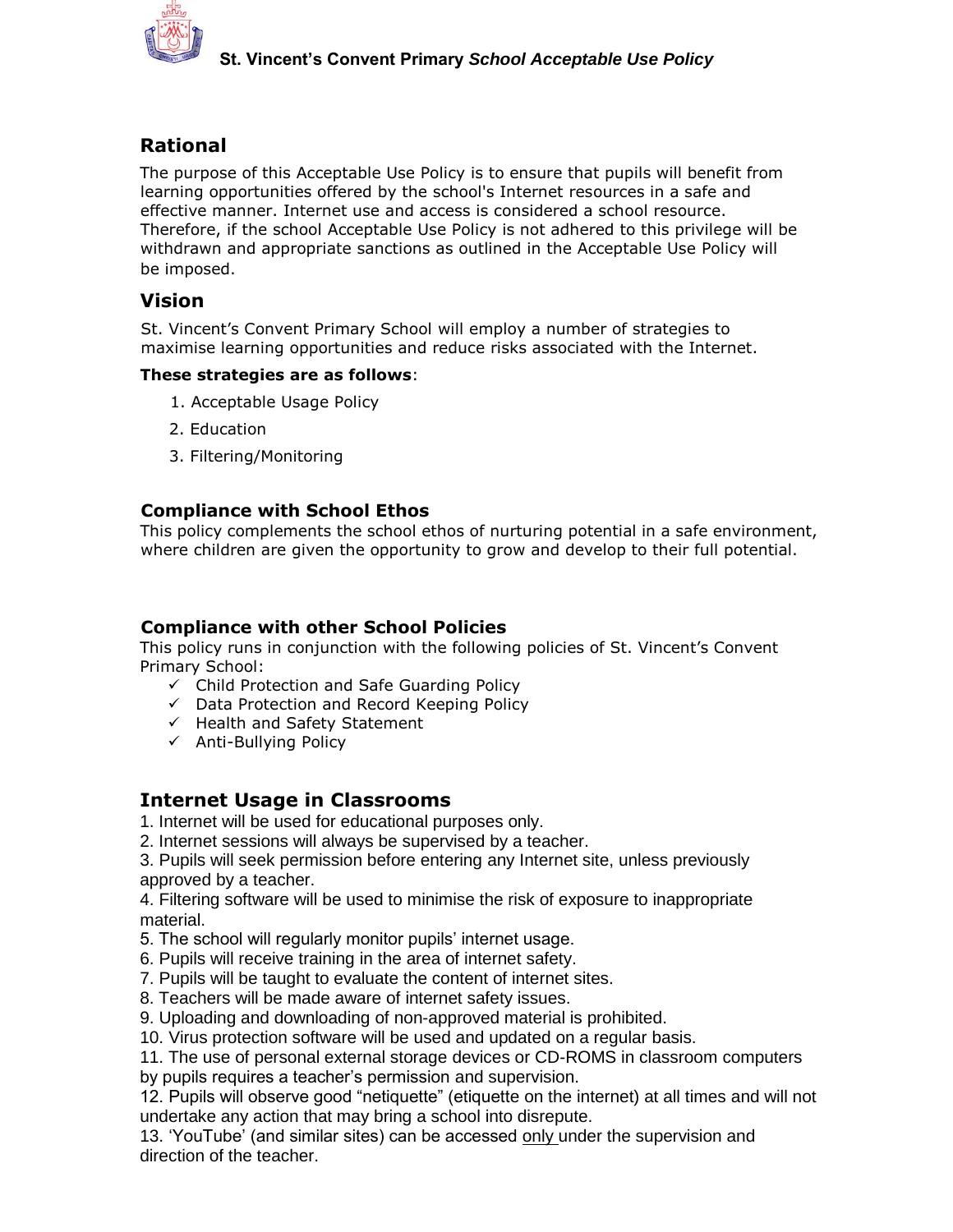

# **Rational**

The purpose of this Acceptable Use Policy is to ensure that pupils will benefit from learning opportunities offered by the school's Internet resources in a safe and effective manner. Internet use and access is considered a school resource. Therefore, if the school Acceptable Use Policy is not adhered to this privilege will be withdrawn and appropriate sanctions as outlined in the Acceptable Use Policy will be imposed.

# **Vision**

St. Vincent's Convent Primary School will employ a number of strategies to maximise learning opportunities and reduce risks associated with the Internet.

## **These strategies are as follows**:

- 1. Acceptable Usage Policy
- 2. Education
- 3. Filtering/Monitoring

# **Compliance with School Ethos**

This policy complements the school ethos of nurturing potential in a safe environment, where children are given the opportunity to grow and develop to their full potential.

## **Compliance with other School Policies**

This policy runs in conjunction with the following policies of St. Vincent's Convent Primary School:

- $\checkmark$  Child Protection and Safe Guarding Policy
- Data Protection and Record Keeping Policy
- $\checkmark$  Health and Safety Statement
- $\checkmark$  Anti-Bullying Policy

# **Internet Usage in Classrooms**

1. Internet will be used for educational purposes only.

2. Internet sessions will always be supervised by a teacher.

3. Pupils will seek permission before entering any Internet site, unless previously approved by a teacher.

4. Filtering software will be used to minimise the risk of exposure to inappropriate material.

5. The school will regularly monitor pupils' internet usage.

6. Pupils will receive training in the area of internet safety.

7. Pupils will be taught to evaluate the content of internet sites.

8. Teachers will be made aware of internet safety issues.

9. Uploading and downloading of non-approved material is prohibited.

10. Virus protection software will be used and updated on a regular basis.

11. The use of personal external storage devices or CD-ROMS in classroom computers by pupils requires a teacher's permission and supervision.

12. Pupils will observe good "netiquette" (etiquette on the internet) at all times and will not undertake any action that may bring a school into disrepute.

13. 'YouTube' (and similar sites) can be accessed only under the supervision and direction of the teacher.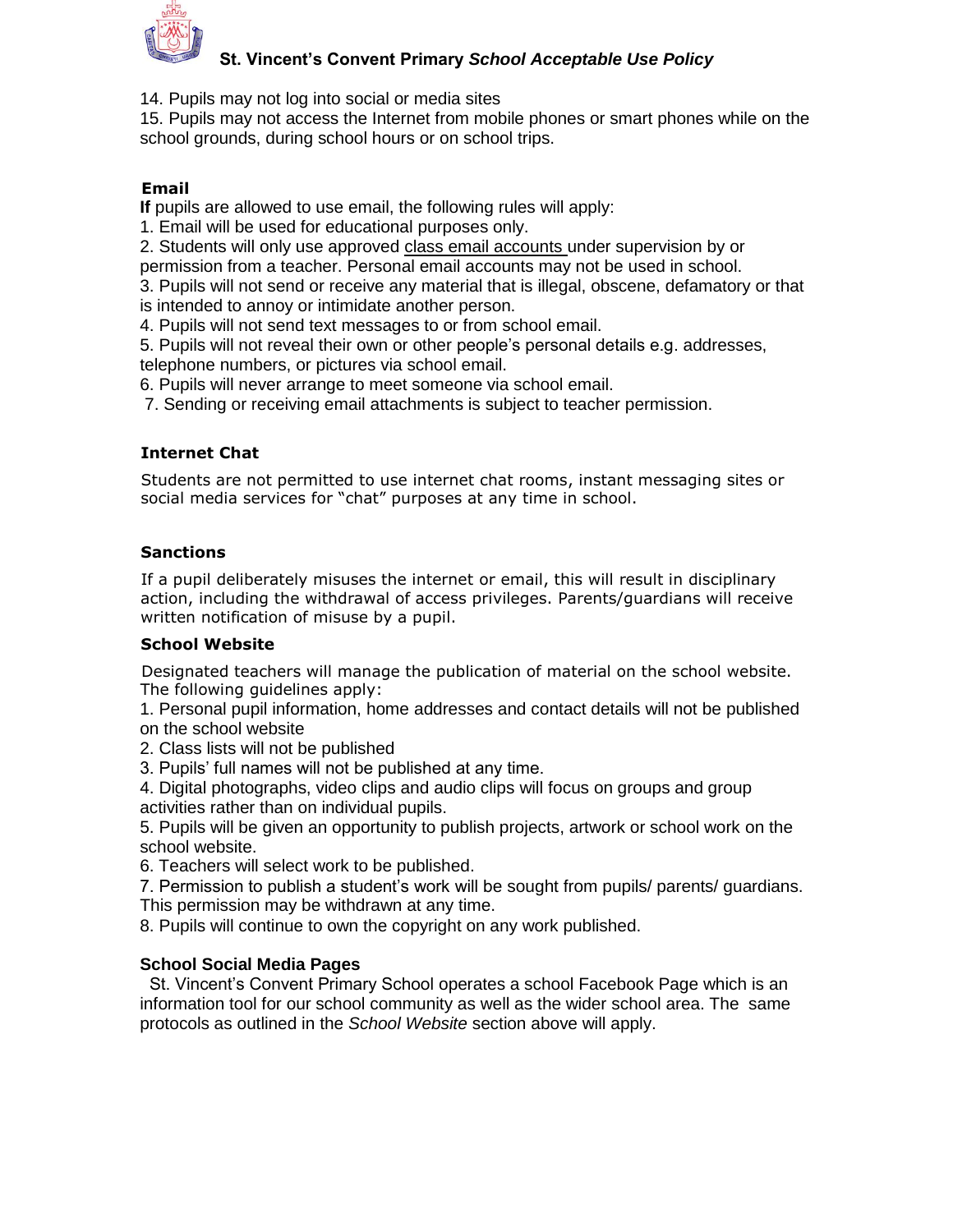

## **St. Vincent's Convent Primary** *School Acceptable Use Policy*

14. Pupils may not log into social or media sites

15. Pupils may not access the Internet from mobile phones or smart phones while on the school grounds, during school hours or on school trips.

## **Email**

If pupils are allowed to use email, the following rules will apply:

1. Email will be used for educational purposes only.

2. Students will only use approved class email accounts under supervision by or permission from a teacher. Personal email accounts may not be used in school.

3. Pupils will not send or receive any material that is illegal, obscene, defamatory or that is intended to annoy or intimidate another person.

4. Pupils will not send text messages to or from school email.

5. Pupils will not reveal their own or other people's personal details e.g. addresses, telephone numbers, or pictures via school email.

6. Pupils will never arrange to meet someone via school email.

7. Sending or receiving email attachments is subject to teacher permission.

## **Internet Chat**

Students are not permitted to use internet chat rooms, instant messaging sites or social media services for "chat" purposes at any time in school.

### **Sanctions**

If a pupil deliberately misuses the internet or email, this will result in disciplinary action, including the withdrawal of access privileges. Parents/guardians will receive written notification of misuse by a pupil.

### **School Website**

Designated teachers will manage the publication of material on the school website. The following guidelines apply:

1. Personal pupil information, home addresses and contact details will not be published on the school website

2. Class lists will not be published

3. Pupils' full names will not be published at any time.

4. Digital photographs, video clips and audio clips will focus on groups and group activities rather than on individual pupils.

5. Pupils will be given an opportunity to publish projects, artwork or school work on the school website.

6. Teachers will select work to be published.

7. Permission to publish a student's work will be sought from pupils/ parents/ guardians. This permission may be withdrawn at any time.

8. Pupils will continue to own the copyright on any work published.

### **School Social Media Pages**

St. Vincent's Convent Primary School operates a school Facebook Page which is an information tool for our school community as well as the wider school area. The same protocols as outlined in the *School Website* section above will apply.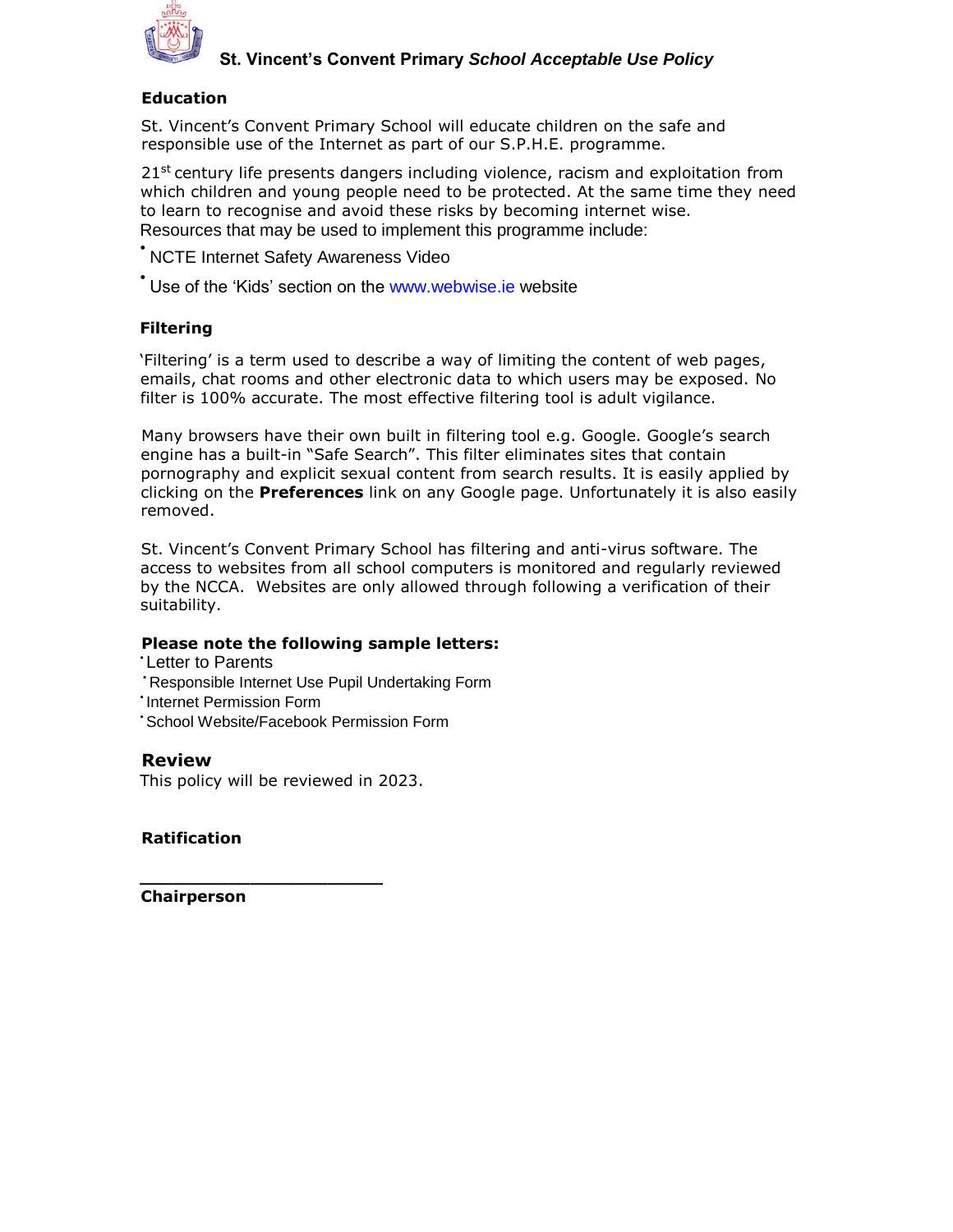

#### **Education**

St. Vincent's Convent Primary School will educate children on the safe and responsible use of the Internet as part of our S.P.H.E. programme.

 $21<sup>st</sup>$  century life presents dangers including violence, racism and exploitation from which children and young people need to be protected. At the same time they need to learn to recognise and avoid these risks by becoming internet wise. Resources that may be used to implement this programme include:

• NCTE Internet Safety Awareness Video

\* Use of the 'Kids' section on the www.webwise.ie website

#### **Filtering**

'Filtering' is a term used to describe a way of limiting the content of web pages, emails, chat rooms and other electronic data to which users may be exposed. No filter is 100% accurate. The most effective filtering tool is adult vigilance.

Many browsers have their own built in filtering tool e.g. Google. Google's search engine has a built-in "Safe Search". This filter eliminates sites that contain pornography and explicit sexual content from search results. It is easily applied by clicking on the **Preferences** link on any Google page. Unfortunately it is also easily removed.

St. Vincent's Convent Primary School has filtering and anti-virus software. The access to websites from all school computers is monitored and regularly reviewed by the NCCA. Websites are only allowed through following a verification of their suitability.

#### **Please note the following sample letters:**

**Letter to Parents** 

• Responsible Internet Use Pupil Undertaking Form

• Internet Permission Form

• School Website/Facebook Permission Form

### **Review**

This policy will be reviewed in 2023.

**\_\_\_\_\_\_\_\_\_\_\_\_\_\_\_\_\_\_\_\_\_\_** 

#### **Ratification**

**Chairperson**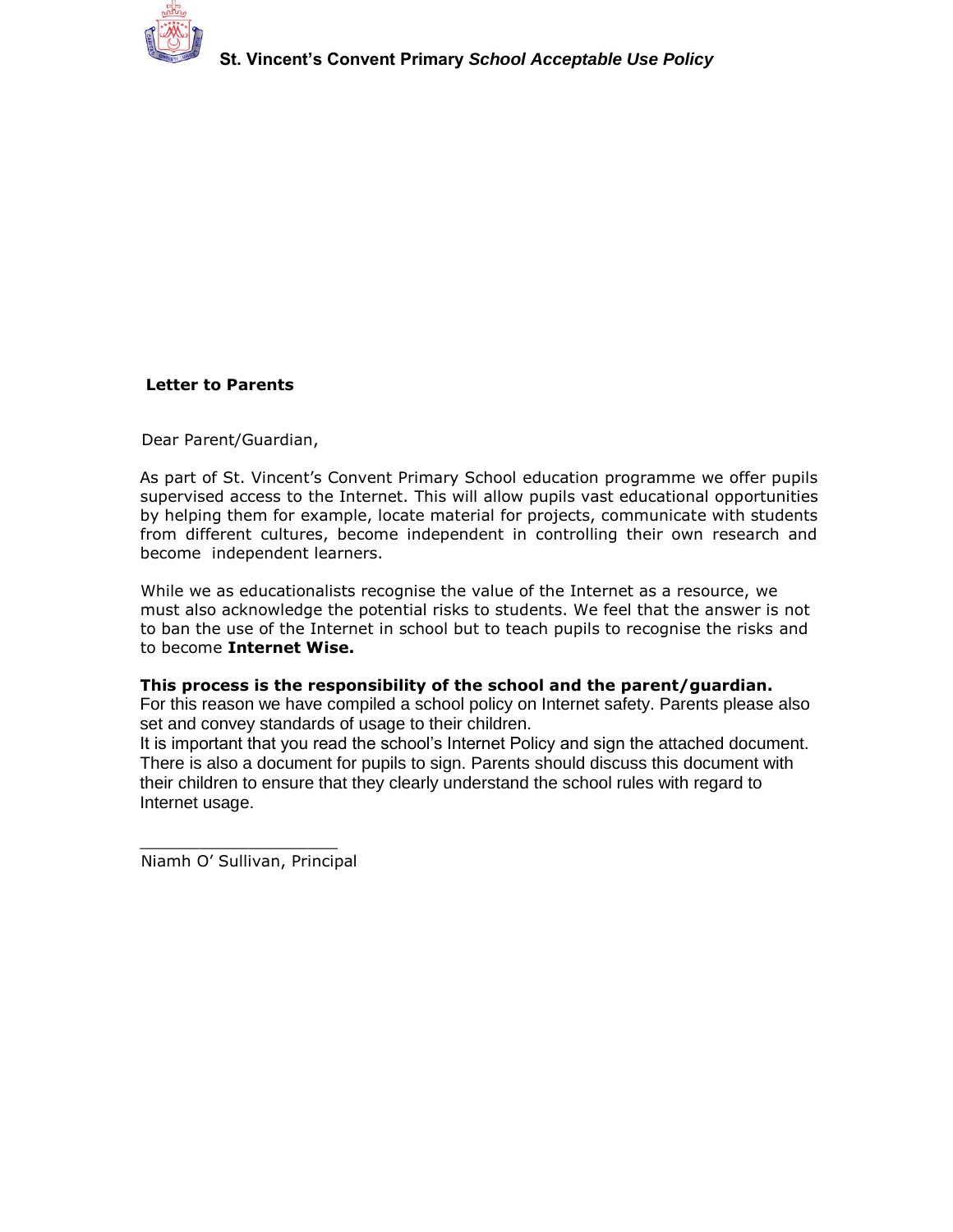

#### **Letter to Parents**

Dear Parent/Guardian,

As part of St. Vincent's Convent Primary School education programme we offer pupils supervised access to the Internet. This will allow pupils vast educational opportunities by helping them for example, locate material for projects, communicate with students from different cultures, become independent in controlling their own research and become independent learners.

While we as educationalists recognise the value of the Internet as a resource, we must also acknowledge the potential risks to students. We feel that the answer is not to ban the use of the Internet in school but to teach pupils to recognise the risks and to become **Internet Wise.** 

#### **This process is the responsibility of the school and the parent/guardian.**

For this reason we have compiled a school policy on Internet safety. Parents please also set and convey standards of usage to their children.

It is important that you read the school's Internet Policy and sign the attached document. There is also a document for pupils to sign. Parents should discuss this document with their children to ensure that they clearly understand the school rules with regard to Internet usage.

\_\_\_\_\_\_\_\_\_\_\_\_\_\_\_\_\_\_\_\_ Niamh O' Sullivan, Principal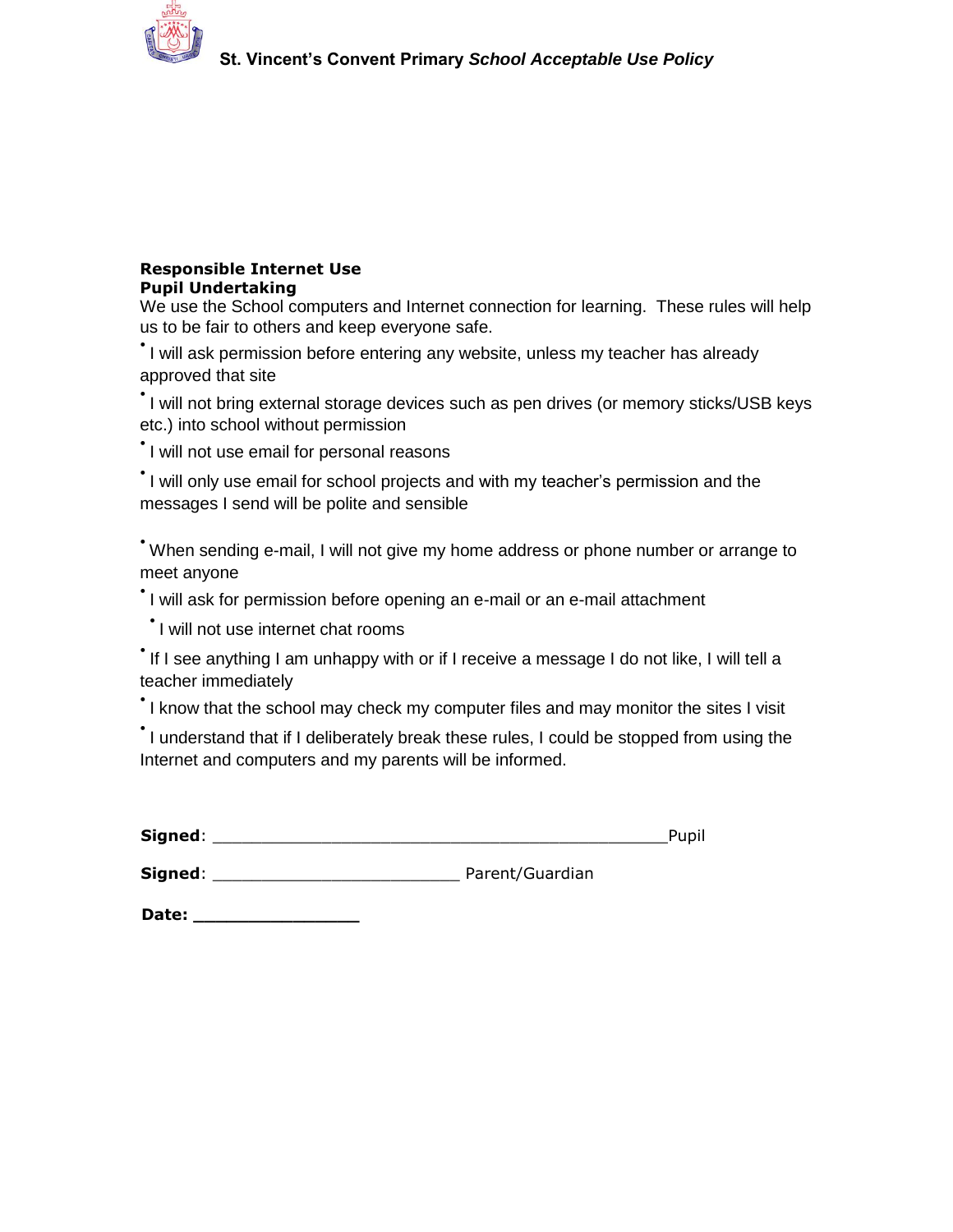

#### **Responsible Internet Use Pupil Undertaking**

We use the School computers and Internet connection for learning. These rules will help us to be fair to others and keep everyone safe.

• I will ask permission before entering any website, unless my teacher has already approved that site

• I will not bring external storage devices such as pen drives (or memory sticks/USB keys etc.) into school without permission

• I will not use email for personal reasons

• I will only use email for school projects and with my teacher's permission and the messages I send will be polite and sensible

• When sending e-mail, I will not give my home address or phone number or arrange to meet anyone

• I will ask for permission before opening an e-mail or an e-mail attachment

• I will not use internet chat rooms

• If I see anything I am unhappy with or if I receive a message I do not like, I will tell a teacher immediately

• I know that the school may check my computer files and may monitor the sites I visit

• I understand that if I deliberately break these rules, I could be stopped from using the Internet and computers and my parents will be informed.

**Signed**: \_\_\_\_\_\_\_\_\_\_\_\_\_\_\_\_\_\_\_\_\_\_\_\_\_ Parent/Guardian

**Date: \_\_\_\_\_\_\_\_\_\_\_\_\_\_\_**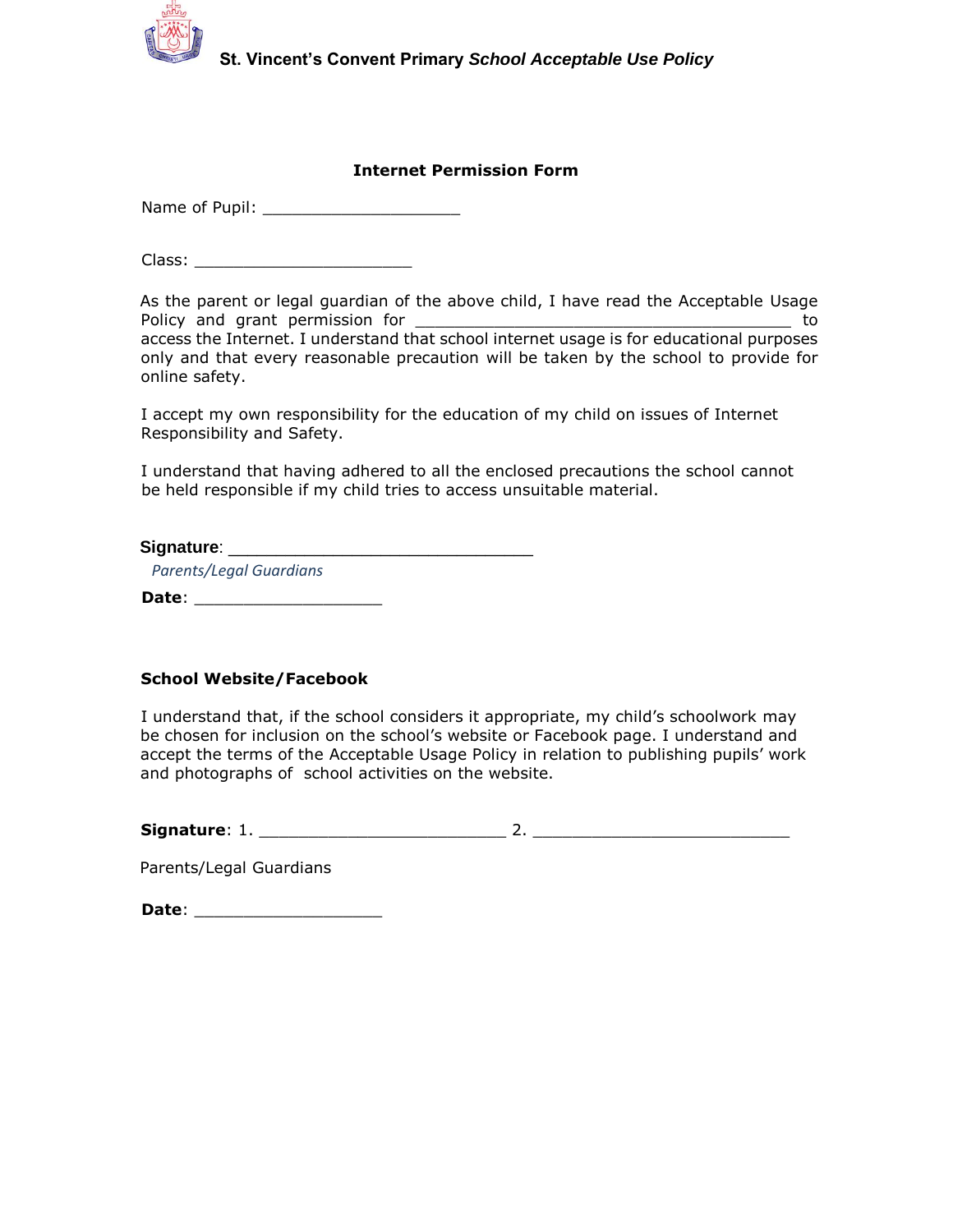

#### **Internet Permission Form**

Name of Pupil:

Class: \_\_\_\_\_\_\_\_\_\_\_\_\_\_\_\_\_\_\_\_\_\_

As the parent or legal guardian of the above child, I have read the Acceptable Usage Policy and grant permission for \_\_\_\_\_\_\_\_\_\_\_\_\_\_\_\_\_\_\_\_\_\_\_\_\_\_\_\_\_\_\_\_\_\_\_\_\_\_ to access the Internet. I understand that school internet usage is for educational purposes only and that every reasonable precaution will be taken by the school to provide for online safety.

I accept my own responsibility for the education of my child on issues of Internet Responsibility and Safety.

I understand that having adhered to all the enclosed precautions the school cannot be held responsible if my child tries to access unsuitable material.

| Signature:                     |  |
|--------------------------------|--|
| <b>Parents/Legal Guardians</b> |  |

**Date**: \_\_\_\_\_\_\_\_\_\_\_\_\_\_\_\_\_\_\_

#### **School Website/Facebook**

I understand that, if the school considers it appropriate, my child's schoolwork may be chosen for inclusion on the school's website or Facebook page. I understand and accept the terms of the Acceptable Usage Policy in relation to publishing pupils' work and photographs of school activities on the website.

**Signature**: 1. \_\_\_\_\_\_\_\_\_\_\_\_\_\_\_\_\_\_\_\_\_\_\_\_\_ 2. \_\_\_\_\_\_\_\_\_\_\_\_\_\_\_\_\_\_\_\_\_\_\_\_\_\_

Parents/Legal Guardians

**Date**: \_\_\_\_\_\_\_\_\_\_\_\_\_\_\_\_\_\_\_